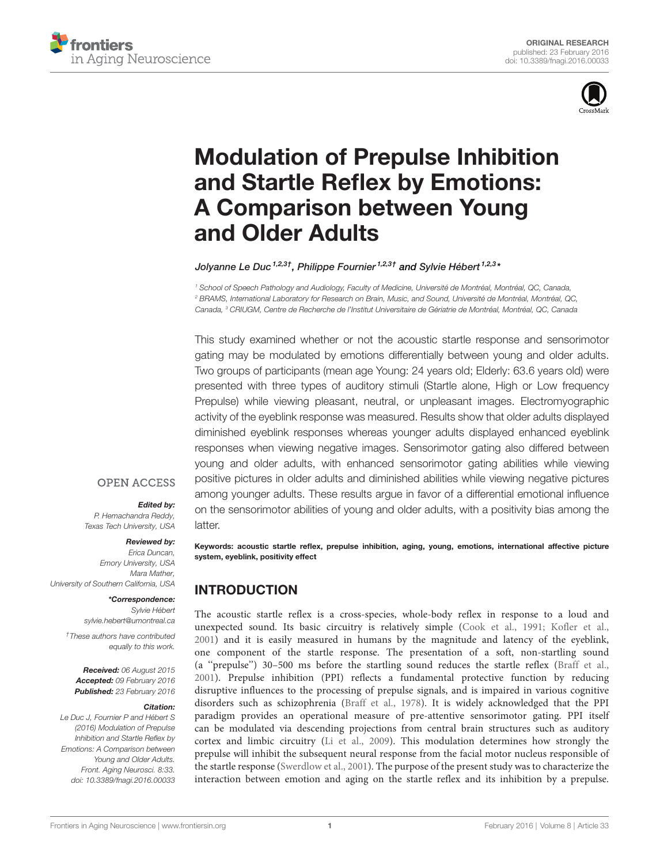



# [Modulation of Prepulse Inhibition](http://journal.frontiersin.org/article/10.3389/fnagi.2016.00033/abstract) [and Startle Reflex by Emotions:](http://journal.frontiersin.org/article/10.3389/fnagi.2016.00033/abstract) [A Comparison between Young](http://journal.frontiersin.org/article/10.3389/fnagi.2016.00033/abstract) [and Older Adults](http://journal.frontiersin.org/article/10.3389/fnagi.2016.00033/abstract)

Jolyanne Le Duc <sup>1,2,3†</sup>, Philippe Fournier <sup>1,2,3†</sup> and [Sylvie Hébert](http://loop.frontiersin.org/people/47061/overview) <sup>1,2,3</sup>\*

<sup>1</sup> School of Speech Pathology and Audiology, Faculty of Medicine, Université de Montréal, Montréal, QC, Canada, <sup>2</sup> BRAMS, International Laboratory for Research on Brain, Music, and Sound, Université de Montréal, Montréal, QC, Canada, <sup>3</sup> CRIUGM, Centre de Recherche de l'Institut Universitaire de Gériatrie de Montréal, Montréal, QC, Canada

This study examined whether or not the acoustic startle response and sensorimotor gating may be modulated by emotions differentially between young and older adults. Two groups of participants (mean age Young: 24 years old; Elderly: 63.6 years old) were presented with three types of auditory stimuli (Startle alone, High or Low frequency Prepulse) while viewing pleasant, neutral, or unpleasant images. Electromyographic activity of the eyeblink response was measured. Results show that older adults displayed diminished eyeblink responses whereas younger adults displayed enhanced eyeblink responses when viewing negative images. Sensorimotor gating also differed between young and older adults, with enhanced sensorimotor gating abilities while viewing positive pictures in older adults and diminished abilities while viewing negative pictures among younger adults. These results argue in favor of a differential emotional influence on the sensorimotor abilities of young and older adults, with a positivity bias among the latter.

#### **OPEN ACCESS**

## Edited by:

P. Hemachandra Reddy, Texas Tech University, USA

#### Reviewed by:

Erica Duncan, Emory University, USA Mara Mather, University of Southern California, USA

#### \*Correspondence: Sylvie Hébert [sylvie.hebert@umontreal.ca](mailto:sylvie.hebert@umontreal.ca)

†These authors have contributed equally to this work.

Received: 06 August 2015 Accepted: 09 February 2016 Published: 23 February 2016

#### Citation:

Le Duc J, Fournier P and Hébert S (2016) Modulation of Prepulse Inhibition and Startle Reflex by Emotions: A Comparison between Young and Older Adults. Front. Aging Neurosci. 8:33. [doi: 10.3389/fnagi.2016.00033](http://dx.doi.org/10.3389/fnagi.2016.00033) Keywords: acoustic startle reflex, prepulse inhibition, aging, young, emotions, international affective picture system, eyeblink, positivity effect

# INTRODUCTION

The acoustic startle reflex is a cross-species, whole-body reflex in response to a loud and unexpected sound. Its basic circuitry is relatively simple [\(Cook et al., 1991;](#page-7-0) [Kofler et al.,](#page-7-1) [2001\)](#page-7-1) and it is easily measured in humans by the magnitude and latency of the eyeblink, one component of the startle response. The presentation of a soft, non-startling sound (a ''prepulse'') 30–500 ms before the startling sound reduces the startle reflex [\(Braff et al.,](#page-7-2) [2001\)](#page-7-2). Prepulse inhibition (PPI) reflects a fundamental protective function by reducing disruptive influences to the processing of prepulse signals, and is impaired in various cognitive disorders such as schizophrenia [\(Braff et al., 1978\)](#page-7-3). It is widely acknowledged that the PPI paradigm provides an operational measure of pre-attentive sensorimotor gating. PPI itself can be modulated via descending projections from central brain structures such as auditory cortex and limbic circuitry [\(Li et al., 2009\)](#page-7-4). This modulation determines how strongly the prepulse will inhibit the subsequent neural response from the facial motor nucleus responsible of the startle response [\(Swerdlow et al., 2001\)](#page-7-5). The purpose of the present study was to characterize the interaction between emotion and aging on the startle reflex and its inhibition by a prepulse.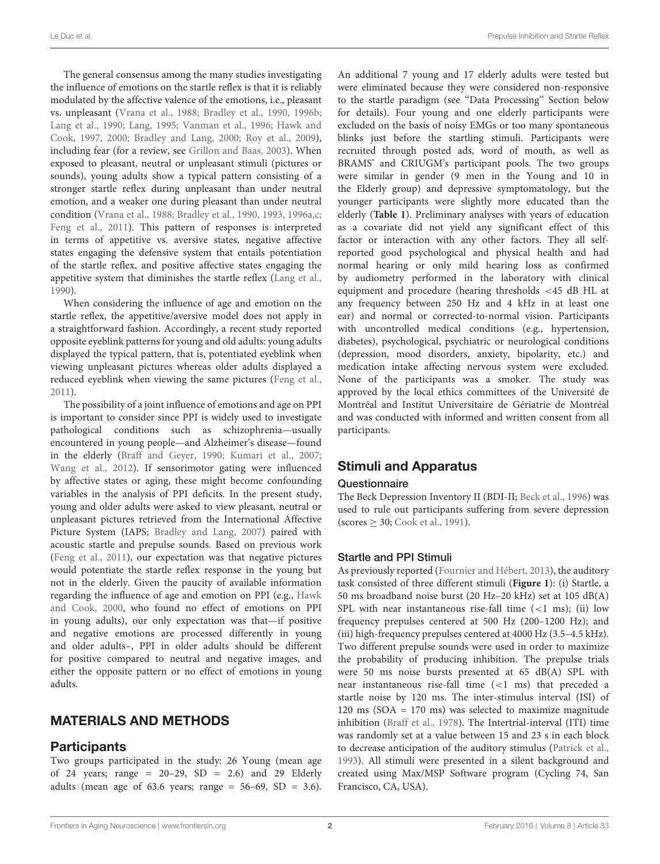The general consensus among the many studies investigating the influence of emotions on the startle reflex is that it is reliably modulated by the affective valence of the emotions, i.e., pleasant vs. unpleasant [\(Vrana et al.,](#page-7-6) [1988;](#page-7-6) [Bradley et al.,](#page-6-0) [1990,](#page-6-0) [1996b;](#page-6-1) [Lang et al.,](#page-7-7) [1990;](#page-7-7) [Lang,](#page-7-8) [1995;](#page-7-8) [Vanman et al.,](#page-7-9) [1996;](#page-7-9) [Hawk and](#page-7-10) [Cook,](#page-7-10) [1997,](#page-7-10) [2000;](#page-7-11) [Bradley and Lang,](#page-6-2) [2000;](#page-6-2) [Roy et al.,](#page-7-12) [2009\)](#page-7-12), including fear (for a review, see [Grillon and Baas,](#page-7-13) [2003\)](#page-7-13). When exposed to pleasant, neutral or unpleasant stimuli (pictures or sounds), young adults show a typical pattern consisting of a stronger startle reflex during unpleasant than under neutral emotion, and a weaker one during pleasant than under neutral condition [\(Vrana et al.,](#page-7-6) [1988;](#page-7-6) [Bradley et al.,](#page-6-0) [1990,](#page-6-0) [1993,](#page-6-3) [1996a,](#page-6-4)[c;](#page-6-5) [Feng et al.,](#page-7-14) [2011\)](#page-7-14). This pattern of responses is interpreted in terms of appetitive vs. aversive states, negative affective states engaging the defensive system that entails potentiation of the startle reflex, and positive affective states engaging the appetitive system that diminishes the startle reflex [\(Lang et al.,](#page-7-7) [1990\)](#page-7-7).

When considering the influence of age and emotion on the startle reflex, the appetitive/aversive model does not apply in a straightforward fashion. Accordingly, a recent study reported opposite eyeblink patterns for young and old adults: young adults displayed the typical pattern, that is, potentiated eyeblink when viewing unpleasant pictures whereas older adults displayed a reduced eyeblink when viewing the same pictures [\(Feng et al.,](#page-7-14) [2011\)](#page-7-14).

The possibility of a joint influence of emotions and age on PPI is important to consider since PPI is widely used to investigate pathological conditions such as schizophrenia—usually encountered in young people—and Alzheimer's disease—found in the elderly [\(Braff and Geyer,](#page-7-15) [1990;](#page-7-15) [Kumari et al.,](#page-7-16) [2007;](#page-7-16) [Wang et al.,](#page-7-17) [2012\)](#page-7-17). If sensorimotor gating were influenced by affective states or aging, these might become confounding variables in the analysis of PPI deficits. In the present study, young and older adults were asked to view pleasant, neutral or unpleasant pictures retrieved from the International Affective Picture System (IAPS; [Bradley and Lang,](#page-6-6) [2007\)](#page-6-6) paired with acoustic startle and prepulse sounds. Based on previous work [\(Feng et al.,](#page-7-14) [2011\)](#page-7-14), our expectation was that negative pictures would potentiate the startle reflex response in the young but not in the elderly. Given the paucity of available information regarding the influence of age and emotion on PPI (e.g., [Hawk](#page-7-11) [and Cook,](#page-7-11) [2000,](#page-7-11) who found no effect of emotions on PPI in young adults), our only expectation was that—if positive and negative emotions are processed differently in young and older adults–, PPI in older adults should be different for positive compared to neutral and negative images, and either the opposite pattern or no effect of emotions in young adults.

# MATERIALS AND METHODS

## **Participants**

Two groups participated in the study: 26 Young (mean age of 24 years; range =  $20-29$ , SD =  $2.6$ ) and 29 Elderly adults (mean age of 63.6 years; range =  $56-69$ , SD = 3.6). An additional 7 young and 17 elderly adults were tested but were eliminated because they were considered non-responsive to the startle paradigm (see ''Data Processing'' Section below for details). Four young and one elderly participants were excluded on the basis of noisy EMGs or too many spontaneous blinks just before the startling stimuli. Participants were recruited through posted ads, word of mouth, as well as BRAMS' and CRIUGM's participant pools. The two groups were similar in gender (9 men in the Young and 10 in the Elderly group) and depressive symptomatology, but the younger participants were slightly more educated than the elderly (**[Table 1](#page-2-0)**). Preliminary analyses with years of education as a covariate did not yield any significant effect of this factor or interaction with any other factors. They all selfreported good psychological and physical health and had normal hearing or only mild hearing loss as confirmed by audiometry performed in the laboratory with clinical equipment and procedure (hearing thresholds <45 dB HL at any frequency between 250 Hz and 4 kHz in at least one ear) and normal or corrected-to-normal vision. Participants with uncontrolled medical conditions (e.g., hypertension, diabetes), psychological, psychiatric or neurological conditions (depression, mood disorders, anxiety, bipolarity, etc.) and medication intake affecting nervous system were excluded. None of the participants was a smoker. The study was approved by the local ethics committees of the Université de Montréal and Institut Universitaire de Gériatrie de Montréal and was conducted with informed and written consent from all participants.

## Stimuli and Apparatus

#### **Questionnaire**

The Beck Depression Inventory II (BDI-II; [Beck et al.,](#page-6-7) [1996\)](#page-6-7) was used to rule out participants suffering from severe depression  $(scores \geq 30; Cook et al., 1991).$  $(scores \geq 30; Cook et al., 1991).$  $(scores \geq 30; Cook et al., 1991).$  $(scores \geq 30; Cook et al., 1991).$  $(scores \geq 30; Cook et al., 1991).$ 

## Startle and PPI Stimuli

As previously reported [\(Fournier and Hébert,](#page-7-18) [2013\)](#page-7-18), the auditory task consisted of three different stimuli (**[Figure 1](#page-2-1)**): (i) Startle, a 50 ms broadband noise burst (20 Hz–20 kHz) set at 105 dB(A) SPL with near instantaneous rise-fall time  $(<1$  ms); (ii) low frequency prepulses centered at 500 Hz (200–1200 Hz); and (iii) high-frequency prepulses centered at 4000 Hz (3.5–4.5 kHz). Two different prepulse sounds were used in order to maximize the probability of producing inhibition. The prepulse trials were 50 ms noise bursts presented at 65 dB(A) SPL with near instantaneous rise-fall time (<1 ms) that preceded a startle noise by 120 ms. The inter-stimulus interval (ISI) of 120 ms (SOA = 170 ms) was selected to maximize magnitude inhibition [\(Braff et al.,](#page-7-3) [1978\)](#page-7-3). The Intertrial-interval (ITI) time was randomly set at a value between 15 and 23 s in each block to decrease anticipation of the auditory stimulus [\(Patrick et al.,](#page-7-19) [1993\)](#page-7-19). All stimuli were presented in a silent background and created using Max/MSP Software program (Cycling 74, San Francisco, CA, USA).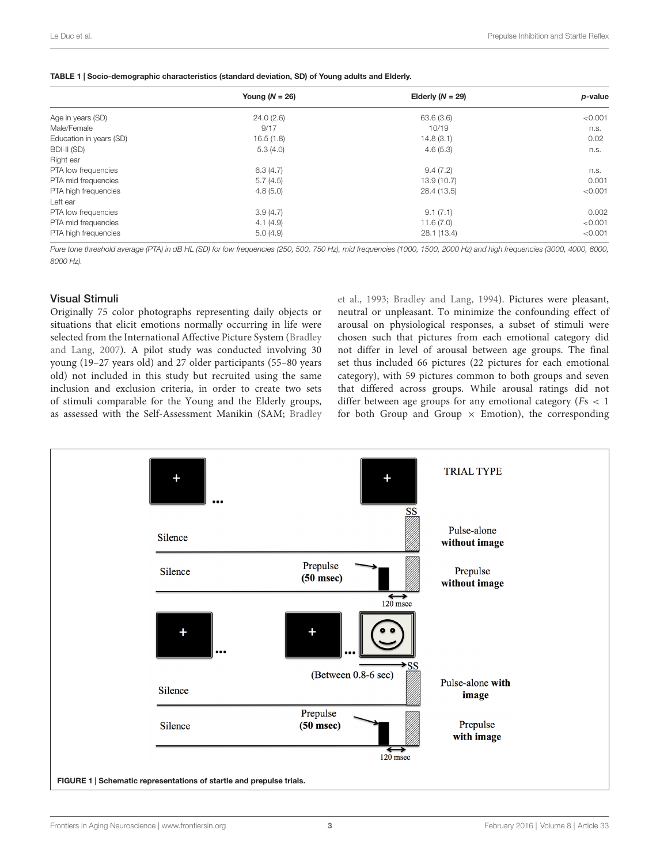<span id="page-2-0"></span>

|  | TABLE 1   Socio-demographic characteristics (standard deviation, SD) of Young adults and Elderly. |  |  |  |
|--|---------------------------------------------------------------------------------------------------|--|--|--|
|  |                                                                                                   |  |  |  |

|                         | Young $(N = 26)$ | Elderly $(N = 29)$ | p-value |  |
|-------------------------|------------------|--------------------|---------|--|
| Age in years (SD)       | 24.0(2.6)        | 63.6(3.6)          | < 0.001 |  |
| Male/Female             | 9/17             | 10/19              | n.s.    |  |
| Education in years (SD) | 16.5(1.8)        | 14.8(3.1)          | 0.02    |  |
| BDI-II (SD)             | 5.3(4.0)         | 4.6(5.3)           | n.s.    |  |
| Right ear               |                  |                    |         |  |
| PTA low frequencies     | 6.3(4.7)         | 9.4(7.2)           | n.s.    |  |
| PTA mid frequencies     | 5.7(4.5)         | 13.9(10.7)         | 0.001   |  |
| PTA high frequencies    | 4.8(5.0)         | 28.4 (13.5)        | < 0.001 |  |
| Left ear                |                  |                    |         |  |
| PTA low frequencies     | 3.9(4.7)         | 9.1(7.1)           | 0.002   |  |
| PTA mid frequencies     | 4.1(4.9)         | 11.6(7.0)          | < 0.001 |  |
| PTA high frequencies    | 5.0(4.9)         | 28.1 (13.4)        | < 0.001 |  |

Pure tone threshold average (PTA) in dB HL (SD) for low frequencies (250, 500, 750 Hz), mid frequencies (1000, 1500, 2000 Hz) and high frequencies (3000, 4000, 6000, 8000 Hz).

#### Visual Stimuli

Originally 75 color photographs representing daily objects or situations that elicit emotions normally occurring in life were selected from the International Affective Picture System [\(Bradley](#page-6-6) [and Lang,](#page-6-6) [2007\)](#page-6-6). A pilot study was conducted involving 30 young (19–27 years old) and 27 older participants (55–80 years old) not included in this study but recruited using the same inclusion and exclusion criteria, in order to create two sets of stimuli comparable for the Young and the Elderly groups, as assessed with the Self-Assessment Manikin (SAM; [Bradley](#page-6-3) [et al.,](#page-6-3) [1993;](#page-6-3) [Bradley and Lang,](#page-6-8) [1994\)](#page-6-8). Pictures were pleasant, neutral or unpleasant. To minimize the confounding effect of arousal on physiological responses, a subset of stimuli were chosen such that pictures from each emotional category did not differ in level of arousal between age groups. The final set thus included 66 pictures (22 pictures for each emotional category), with 59 pictures common to both groups and seven that differed across groups. While arousal ratings did not differ between age groups for any emotional category ( $Fs < 1$ ) for both Group and Group  $\times$  Emotion), the corresponding

<span id="page-2-1"></span>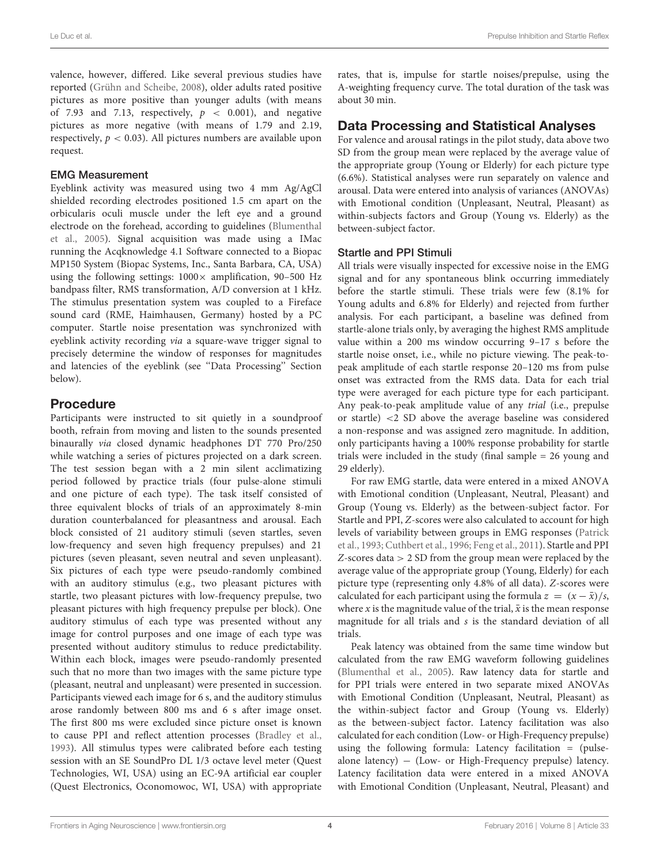valence, however, differed. Like several previous studies have reported [\(Grühn and Scheibe,](#page-7-20) [2008\)](#page-7-20), older adults rated positive pictures as more positive than younger adults (with means of 7.93 and 7.13, respectively,  $p < 0.001$ ), and negative pictures as more negative (with means of 1.79 and 2.19, respectively,  $p < 0.03$ ). All pictures numbers are available upon request.

#### EMG Measurement

Eyeblink activity was measured using two 4 mm Ag/AgCl shielded recording electrodes positioned 1.5 cm apart on the orbicularis oculi muscle under the left eye and a ground electrode on the forehead, according to guidelines [\(Blumenthal](#page-6-9) [et al.,](#page-6-9) [2005\)](#page-6-9). Signal acquisition was made using a IMac running the Acqknowledge 4.1 Software connected to a Biopac MP150 System (Biopac Systems, Inc., Santa Barbara, CA, USA) using the following settings:  $1000 \times$  amplification, 90-500 Hz bandpass filter, RMS transformation, A/D conversion at 1 kHz. The stimulus presentation system was coupled to a Fireface sound card (RME, Haimhausen, Germany) hosted by a PC computer. Startle noise presentation was synchronized with eyeblink activity recording via a square-wave trigger signal to precisely determine the window of responses for magnitudes and latencies of the eyeblink (see ''Data Processing'' Section below).

# Procedure

Participants were instructed to sit quietly in a soundproof booth, refrain from moving and listen to the sounds presented binaurally via closed dynamic headphones DT 770 Pro/250 while watching a series of pictures projected on a dark screen. The test session began with a 2 min silent acclimatizing period followed by practice trials (four pulse-alone stimuli and one picture of each type). The task itself consisted of three equivalent blocks of trials of an approximately 8-min duration counterbalanced for pleasantness and arousal. Each block consisted of 21 auditory stimuli (seven startles, seven low-frequency and seven high frequency prepulses) and 21 pictures (seven pleasant, seven neutral and seven unpleasant). Six pictures of each type were pseudo-randomly combined with an auditory stimulus (e.g., two pleasant pictures with startle, two pleasant pictures with low-frequency prepulse, two pleasant pictures with high frequency prepulse per block). One auditory stimulus of each type was presented without any image for control purposes and one image of each type was presented without auditory stimulus to reduce predictability. Within each block, images were pseudo-randomly presented such that no more than two images with the same picture type (pleasant, neutral and unpleasant) were presented in succession. Participants viewed each image for 6 s, and the auditory stimulus arose randomly between 800 ms and 6 s after image onset. The first 800 ms were excluded since picture onset is known to cause PPI and reflect attention processes [\(Bradley et al.,](#page-6-3) [1993\)](#page-6-3). All stimulus types were calibrated before each testing session with an SE SoundPro DL 1/3 octave level meter (Quest Technologies, WI, USA) using an EC-9A artificial ear coupler (Quest Electronics, Oconomowoc, WI, USA) with appropriate rates, that is, impulse for startle noises/prepulse, using the A-weighting frequency curve. The total duration of the task was about 30 min.

## Data Processing and Statistical Analyses

For valence and arousal ratings in the pilot study, data above two SD from the group mean were replaced by the average value of the appropriate group (Young or Elderly) for each picture type (6.6%). Statistical analyses were run separately on valence and arousal. Data were entered into analysis of variances (ANOVAs) with Emotional condition (Unpleasant, Neutral, Pleasant) as within-subjects factors and Group (Young vs. Elderly) as the between-subject factor.

## Startle and PPI Stimuli

All trials were visually inspected for excessive noise in the EMG signal and for any spontaneous blink occurring immediately before the startle stimuli. These trials were few (8.1% for Young adults and 6.8% for Elderly) and rejected from further analysis. For each participant, a baseline was defined from startle-alone trials only, by averaging the highest RMS amplitude value within a 200 ms window occurring 9–17 s before the startle noise onset, i.e., while no picture viewing. The peak-topeak amplitude of each startle response 20–120 ms from pulse onset was extracted from the RMS data. Data for each trial type were averaged for each picture type for each participant. Any peak-to-peak amplitude value of any trial (i.e., prepulse or startle) <2 SD above the average baseline was considered a non-response and was assigned zero magnitude. In addition, only participants having a 100% response probability for startle trials were included in the study (final sample = 26 young and 29 elderly).

For raw EMG startle, data were entered in a mixed ANOVA with Emotional condition (Unpleasant, Neutral, Pleasant) and Group (Young vs. Elderly) as the between-subject factor. For Startle and PPI, Z-scores were also calculated to account for high levels of variability between groups in EMG responses [\(Patrick](#page-7-19) [et al.,](#page-7-19) [1993;](#page-7-19) [Cuthbert et al.,](#page-7-21) [1996;](#page-7-21) [Feng et al.,](#page-7-14) [2011\)](#page-7-14). Startle and PPI Z-scores data > 2 SD from the group mean were replaced by the average value of the appropriate group (Young, Elderly) for each picture type (representing only 4.8% of all data). Z-scores were calculated for each participant using the formula  $z = (x - \bar{x})/s$ , where x is the magnitude value of the trial,  $\bar{x}$  is the mean response magnitude for all trials and  $s$  is the standard deviation of all trials.

Peak latency was obtained from the same time window but calculated from the raw EMG waveform following guidelines [\(Blumenthal et al.,](#page-6-9) [2005\)](#page-6-9). Raw latency data for startle and for PPI trials were entered in two separate mixed ANOVAs with Emotional Condition (Unpleasant, Neutral, Pleasant) as the within-subject factor and Group (Young vs. Elderly) as the between-subject factor. Latency facilitation was also calculated for each condition (Low- or High-Frequency prepulse) using the following formula: Latency facilitation = (pulsealone latency) – (Low- or High-Frequency prepulse) latency. Latency facilitation data were entered in a mixed ANOVA with Emotional Condition (Unpleasant, Neutral, Pleasant) and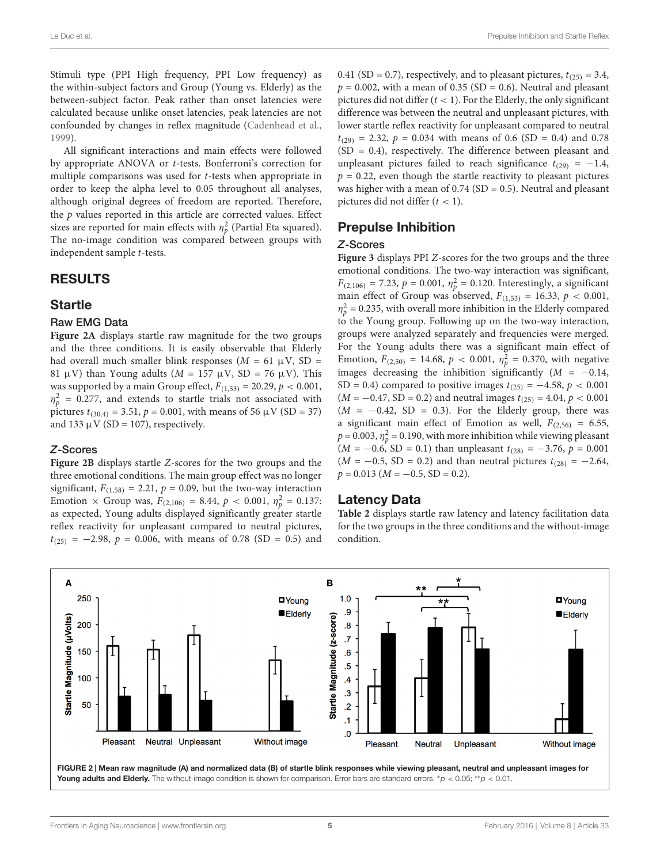Stimuli type (PPI High frequency, PPI Low frequency) as the within-subject factors and Group (Young vs. Elderly) as the between-subject factor. Peak rather than onset latencies were calculated because unlike onset latencies, peak latencies are not confounded by changes in reflex magnitude [\(Cadenhead et al.,](#page-7-22) [1999\)](#page-7-22).

All significant interactions and main effects were followed by appropriate ANOVA or t-tests. Bonferroni's correction for multiple comparisons was used for t-tests when appropriate in order to keep the alpha level to 0.05 throughout all analyses, although original degrees of freedom are reported. Therefore, the  $p$  values reported in this article are corrected values. Effect sizes are reported for main effects with  $\eta_p^2$  (Partial Eta squared). The no-image condition was compared between groups with independent sample t-tests.

# RESULTS

# **Startle**

## Raw EMG Data

**[Figure 2A](#page-4-0)** displays startle raw magnitude for the two groups and the three conditions. It is easily observable that Elderly had overall much smaller blink responses ( $M = 61 \mu V$ , SD = 81  $\mu$ V) than Young adults (*M* = 157  $\mu$ V, SD = 76  $\mu$ V). This was supported by a main Group effect,  $F_{(1,53)} = 20.29$ ,  $p < 0.001$ ,  $\eta_p^2$  = 0.277, and extends to startle trials not associated with pictures  $t_{(30.4)} = 3.51$ ,  $p = 0.001$ , with means of 56  $\mu$ V (SD = 37) and 133  $\mu$ V (SD = 107), respectively.

#### Z-Scores

**[Figure 2B](#page-4-0)** displays startle Z-scores for the two groups and the three emotional conditions. The main group effect was no longer significant,  $F_{(1,58)} = 2.21$ ,  $p = 0.09$ , but the two-way interaction Emotion  $\times$  Group was,  $F_{(2,106)} = 8.44$ ,  $p < 0.001$ ,  $\eta_p^2 = 0.137$ : as expected, Young adults displayed significantly greater startle reflex reactivity for unpleasant compared to neutral pictures,  $t_{(25)} = -2.98$ ,  $p = 0.006$ , with means of 0.78 (SD = 0.5) and

0.41 (SD = 0.7), respectively, and to pleasant pictures,  $t_{(25)} = 3.4$ ,  $p = 0.002$ , with a mean of 0.35 (SD = 0.6). Neutral and pleasant pictures did not differ  $(t < 1)$ . For the Elderly, the only significant difference was between the neutral and unpleasant pictures, with lower startle reflex reactivity for unpleasant compared to neutral  $t_{(29)} = 2.32$ ,  $p = 0.034$  with means of 0.6 (SD = 0.4) and 0.78 (SD = 0.4), respectively. The difference between pleasant and unpleasant pictures failed to reach significance  $t_{(29)} = -1.4$ ,  $p = 0.22$ , even though the startle reactivity to pleasant pictures was higher with a mean of  $0.74$  (SD = 0.5). Neutral and pleasant pictures did not differ  $(t < 1)$ .

# Prepulse Inhibition

#### Z-Scores

**[Figure 3](#page-5-0)** displays PPI Z-scores for the two groups and the three emotional conditions. The two-way interaction was significant,  $F_{(2,106)} = 7.23$ ,  $p = 0.001$ ,  $\eta_p^2 = 0.120$ . Interestingly, a significant main effect of Group was observed,  $F_{(1,53)} = 16.33$ ,  $p < 0.001$ ,  $\eta_p^2$  = 0.235, with overall more inhibition in the Elderly compared to the Young group. Following up on the two-way interaction, groups were analyzed separately and frequencies were merged. For the Young adults there was a significant main effect of Emotion,  $F_{(2,50)} = 14.68$ ,  $p < 0.001$ ,  $\eta_p^2 = 0.370$ , with negative images decreasing the inhibition significantly ( $M = -0.14$ , SD = 0.4) compared to positive images  $t_{(25)} = -4.58$ ,  $p < 0.001$  $(M = -0.47, SD = 0.2)$  and neutral images  $t_{(25)} = 4.04, p < 0.001$  $(M = -0.42, SD = 0.3)$ . For the Elderly group, there was a significant main effect of Emotion as well,  $F_{(2,56)} = 6.55$ ,  $p = 0.003$ ,  $\eta_p^2 = 0.190$ , with more inhibition while viewing pleasant  $(M = -0.6, SD = 0.1)$  than unpleasant  $t_{(28)} = -3.76, p = 0.001$  $(M = -0.5, SD = 0.2)$  and than neutral pictures  $t_{(28)} = -2.64$ ,  $p = 0.013$  ( $M = -0.5$ , SD = 0.2).

## Latency Data

**[Table 2](#page-5-1)** displays startle raw latency and latency facilitation data for the two groups in the three conditions and the without-image condition.



<span id="page-4-0"></span>Young adults and Elderly. The without-image condition is shown for comparison. Error bars are standard errors. \* $p < 0.05$ ; \*\* $p < 0.01$ .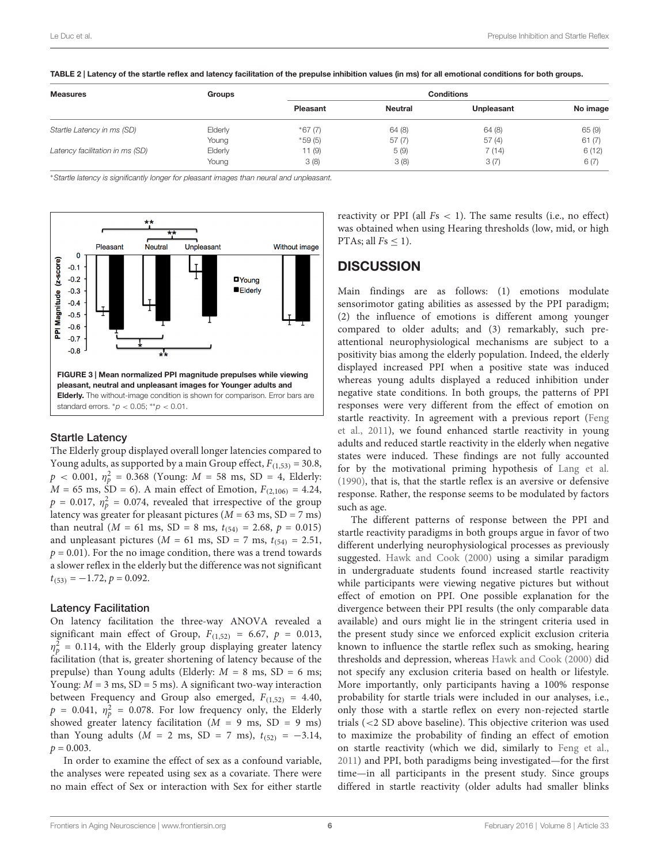| <b>Measures</b>                 | Groups  |          | <b>Conditions</b> |            |          |  |  |
|---------------------------------|---------|----------|-------------------|------------|----------|--|--|
|                                 |         | Pleasant | <b>Neutral</b>    | Unpleasant | No image |  |  |
| Startle Latency in ms (SD)      | Elderly | $*67(7)$ | 64(8)             | 64(8)      | 65(9)    |  |  |
|                                 | Young   | $*59(5)$ | 57 (7)            | 57(4)      | 61(7)    |  |  |
| Latency facilitation in ms (SD) | Elderly | 11(9)    | 5(9)              | 7 (14)     | 6(12)    |  |  |
|                                 | Young   | 3(8)     | 3(8)              | 3(7)       | 6(7)     |  |  |

<span id="page-5-1"></span>TABLE 2 | Latency of the startle reflex and latency facilitation of the prepulse inhibition values (in ms) for all emotional conditions for both groups.

<sup>∗</sup>Startle latency is significantly longer for pleasant images than neural and unpleasant.



#### <span id="page-5-0"></span>Startle Latency

The Elderly group displayed overall longer latencies compared to Young adults, as supported by a main Group effect,  $F_{(1,53)} = 30.8$ ,  $p < 0.001, \eta_p^2 = 0.368$  (Young:  $M = 58 \text{ ms}, \text{ SD} = 4, \text{ Elderly:}$  $M = 65$  ms,  $\text{SD} = 6$ ). A main effect of Emotion,  $F_{(2,106)} = 4.24$ ,  $p = 0.017$ ,  $\eta_p^2 = 0.074$ , revealed that irrespective of the group latency was greater for pleasant pictures ( $M = 63$  ms,  $SD = 7$  ms) than neutral ( $M = 61$  ms,  $SD = 8$  ms,  $t_{(54)} = 2.68$ ,  $p = 0.015$ ) and unpleasant pictures ( $M = 61$  ms,  $SD = 7$  ms,  $t_{(54)} = 2.51$ ,  $p = 0.01$ ). For the no image condition, there was a trend towards a slower reflex in the elderly but the difference was not significant  $t_{(53)} = -1.72$ ,  $p = 0.092$ .

#### Latency Facilitation

On latency facilitation the three-way ANOVA revealed a significant main effect of Group,  $F_{(1,52)} = 6.67$ ,  $p = 0.013$ ,  $\eta_p^2$  = 0.114, with the Elderly group displaying greater latency facilitation (that is, greater shortening of latency because of the prepulse) than Young adults (Elderly:  $M = 8$  ms,  $SD = 6$  ms; Young:  $M = 3$  ms,  $SD = 5$  ms). A significant two-way interaction between Frequency and Group also emerged,  $F_{(1,52)} = 4.40$ ,  $p = 0.041$ ,  $\eta_p^2 = 0.078$ . For low frequency only, the Elderly showed greater latency facilitation ( $M = 9$  ms, SD = 9 ms) than Young adults ( $M = 2$  ms, SD = 7 ms),  $t_{(52)} = -3.14$ ,  $p = 0.003$ .

In order to examine the effect of sex as a confound variable, the analyses were repeated using sex as a covariate. There were no main effect of Sex or interaction with Sex for either startle reactivity or PPI (all  $Fs < 1$ ). The same results (i.e., no effect) was obtained when using Hearing thresholds (low, mid, or high PTAs; all  $Fs \leq 1$ ).

# **DISCUSSION**

Main findings are as follows: (1) emotions modulate sensorimotor gating abilities as assessed by the PPI paradigm; (2) the influence of emotions is different among younger compared to older adults; and (3) remarkably, such preattentional neurophysiological mechanisms are subject to a positivity bias among the elderly population. Indeed, the elderly displayed increased PPI when a positive state was induced whereas young adults displayed a reduced inhibition under negative state conditions. In both groups, the patterns of PPI responses were very different from the effect of emotion on startle reactivity. In agreement with a previous report [\(Feng](#page-7-14) [et al.,](#page-7-14) [2011\)](#page-7-14), we found enhanced startle reactivity in young adults and reduced startle reactivity in the elderly when negative states were induced. These findings are not fully accounted for by the motivational priming hypothesis of [Lang et al.](#page-7-7) [\(1990\)](#page-7-7), that is, that the startle reflex is an aversive or defensive response. Rather, the response seems to be modulated by factors such as age.

The different patterns of response between the PPI and startle reactivity paradigms in both groups argue in favor of two different underlying neurophysiological processes as previously suggested. [Hawk and Cook](#page-7-11) [\(2000\)](#page-7-11) using a similar paradigm in undergraduate students found increased startle reactivity while participants were viewing negative pictures but without effect of emotion on PPI. One possible explanation for the divergence between their PPI results (the only comparable data available) and ours might lie in the stringent criteria used in the present study since we enforced explicit exclusion criteria known to influence the startle reflex such as smoking, hearing thresholds and depression, whereas [Hawk and Cook](#page-7-11) [\(2000\)](#page-7-11) did not specify any exclusion criteria based on health or lifestyle. More importantly, only participants having a 100% response probability for startle trials were included in our analyses, i.e., only those with a startle reflex on every non-rejected startle trials (<2 SD above baseline). This objective criterion was used to maximize the probability of finding an effect of emotion on startle reactivity (which we did, similarly to [Feng et al.,](#page-7-14) [2011\)](#page-7-14) and PPI, both paradigms being investigated—for the first time—in all participants in the present study. Since groups differed in startle reactivity (older adults had smaller blinks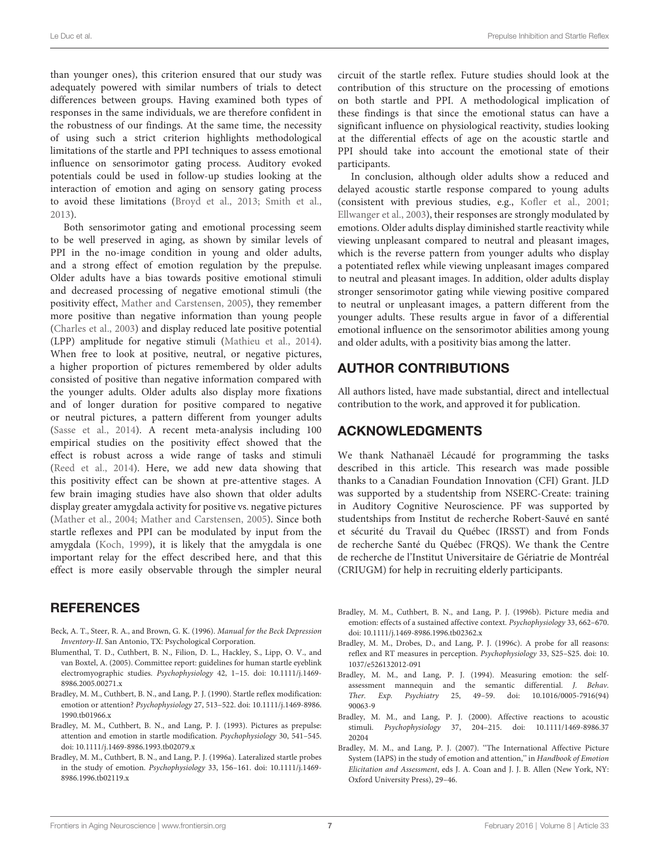than younger ones), this criterion ensured that our study was adequately powered with similar numbers of trials to detect differences between groups. Having examined both types of responses in the same individuals, we are therefore confident in the robustness of our findings. At the same time, the necessity of using such a strict criterion highlights methodological limitations of the startle and PPI techniques to assess emotional influence on sensorimotor gating process. Auditory evoked potentials could be used in follow-up studies looking at the interaction of emotion and aging on sensory gating process to avoid these limitations [\(Broyd et al.,](#page-7-23) [2013;](#page-7-23) [Smith et al.,](#page-7-24) [2013\)](#page-7-24).

Both sensorimotor gating and emotional processing seem to be well preserved in aging, as shown by similar levels of PPI in the no-image condition in young and older adults, and a strong effect of emotion regulation by the prepulse. Older adults have a bias towards positive emotional stimuli and decreased processing of negative emotional stimuli (the positivity effect, [Mather and Carstensen,](#page-7-25) [2005\)](#page-7-25), they remember more positive than negative information than young people [\(Charles et al.,](#page-7-26) [2003\)](#page-7-26) and display reduced late positive potential (LPP) amplitude for negative stimuli [\(Mathieu et al.,](#page-7-27) [2014\)](#page-7-27). When free to look at positive, neutral, or negative pictures, a higher proportion of pictures remembered by older adults consisted of positive than negative information compared with the younger adults. Older adults also display more fixations and of longer duration for positive compared to negative or neutral pictures, a pattern different from younger adults [\(Sasse et al.,](#page-7-28) [2014\)](#page-7-28). A recent meta-analysis including 100 empirical studies on the positivity effect showed that the effect is robust across a wide range of tasks and stimuli [\(Reed et al.,](#page-7-29) [2014\)](#page-7-29). Here, we add new data showing that this positivity effect can be shown at pre-attentive stages. A few brain imaging studies have also shown that older adults display greater amygdala activity for positive vs. negative pictures [\(Mather et al.,](#page-7-30) [2004;](#page-7-30) [Mather and Carstensen,](#page-7-25) [2005\)](#page-7-25). Since both startle reflexes and PPI can be modulated by input from the amygdala [\(Koch,](#page-7-31) [1999\)](#page-7-31), it is likely that the amygdala is one important relay for the effect described here, and that this effect is more easily observable through the simpler neural

## REFERENCES

- <span id="page-6-7"></span>Beck, A. T., Steer, R. A., and Brown, G. K. (1996). Manual for the Beck Depression Inventory-II. San Antonio, TX: Psychological Corporation.
- <span id="page-6-9"></span>Blumenthal, T. D., Cuthbert, B. N., Filion, D. L., Hackley, S., Lipp, O. V., and van Boxtel, A. (2005). Committee report: guidelines for human startle eyeblink electromyographic studies. Psychophysiology 42, 1–15. doi: 10.1111/j.1469- 8986.2005.00271.x
- <span id="page-6-0"></span>Bradley, M. M., Cuthbert, B. N., and Lang, P. J. (1990). Startle reflex modification: emotion or attention? Psychophysiology 27, 513–522. doi: 10.1111/j.1469-8986. 1990.tb01966.x
- <span id="page-6-3"></span>Bradley, M. M., Cuthbert, B. N., and Lang, P. J. (1993). Pictures as prepulse: attention and emotion in startle modification. Psychophysiology 30, 541–545. doi: 10.1111/j.1469-8986.1993.tb02079.x
- <span id="page-6-4"></span>Bradley, M. M., Cuthbert, B. N., and Lang, P. J. (1996a). Lateralized startle probes in the study of emotion. Psychophysiology 33, 156–161. doi: 10.1111/j.1469- 8986.1996.tb02119.x

circuit of the startle reflex. Future studies should look at the contribution of this structure on the processing of emotions on both startle and PPI. A methodological implication of these findings is that since the emotional status can have a significant influence on physiological reactivity, studies looking at the differential effects of age on the acoustic startle and PPI should take into account the emotional state of their participants.

In conclusion, although older adults show a reduced and delayed acoustic startle response compared to young adults (consistent with previous studies, e.g., [Kofler et al.,](#page-7-1) [2001;](#page-7-1) [Ellwanger et al.,](#page-7-32) [2003\)](#page-7-32), their responses are strongly modulated by emotions. Older adults display diminished startle reactivity while viewing unpleasant compared to neutral and pleasant images, which is the reverse pattern from younger adults who display a potentiated reflex while viewing unpleasant images compared to neutral and pleasant images. In addition, older adults display stronger sensorimotor gating while viewing positive compared to neutral or unpleasant images, a pattern different from the younger adults. These results argue in favor of a differential emotional influence on the sensorimotor abilities among young and older adults, with a positivity bias among the latter.

# AUTHOR CONTRIBUTIONS

All authors listed, have made substantial, direct and intellectual contribution to the work, and approved it for publication.

## ACKNOWLEDGMENTS

We thank Nathanaël Lécaudé for programming the tasks described in this article. This research was made possible thanks to a Canadian Foundation Innovation (CFI) Grant. JLD was supported by a studentship from NSERC-Create: training in Auditory Cognitive Neuroscience. PF was supported by studentships from Institut de recherche Robert-Sauvé en santé et sécurité du Travail du Québec (IRSST) and from Fonds de recherche Santé du Québec (FRQS). We thank the Centre de recherche de l'Institut Universitaire de Gériatrie de Montréal (CRIUGM) for help in recruiting elderly participants.

- <span id="page-6-1"></span>Bradley, M. M., Cuthbert, B. N., and Lang, P. J. (1996b). Picture media and emotion: effects of a sustained affective context. Psychophysiology 33, 662–670. doi: 10.1111/j.1469-8986.1996.tb02362.x
- <span id="page-6-5"></span>Bradley, M. M., Drobes, D., and Lang, P. J. (1996c). A probe for all reasons: reflex and RT measures in perception. Psychophysiology 33, S25–S25. doi: 10. 1037/e526132012-091
- <span id="page-6-8"></span>Bradley, M. M., and Lang, P. J. (1994). Measuring emotion: the selfassessment mannequin and the semantic differential. J. Behav. Ther. Exp. Psychiatry 25, 49–59. doi: 10.1016/0005-7916(94) 90063-9
- <span id="page-6-2"></span>Bradley, M. M., and Lang, P. J. (2000). Affective reactions to acoustic stimuli. Psychophysiology 37, 204–215. doi: 10.1111/1469-8986.37 20204
- <span id="page-6-6"></span>Bradley, M. M., and Lang, P. J. (2007). ''The International Affective Picture System (IAPS) in the study of emotion and attention,'' in Handbook of Emotion Elicitation and Assessment, eds J. A. Coan and J. J. B. Allen (New York, NY: Oxford University Press), 29–46.